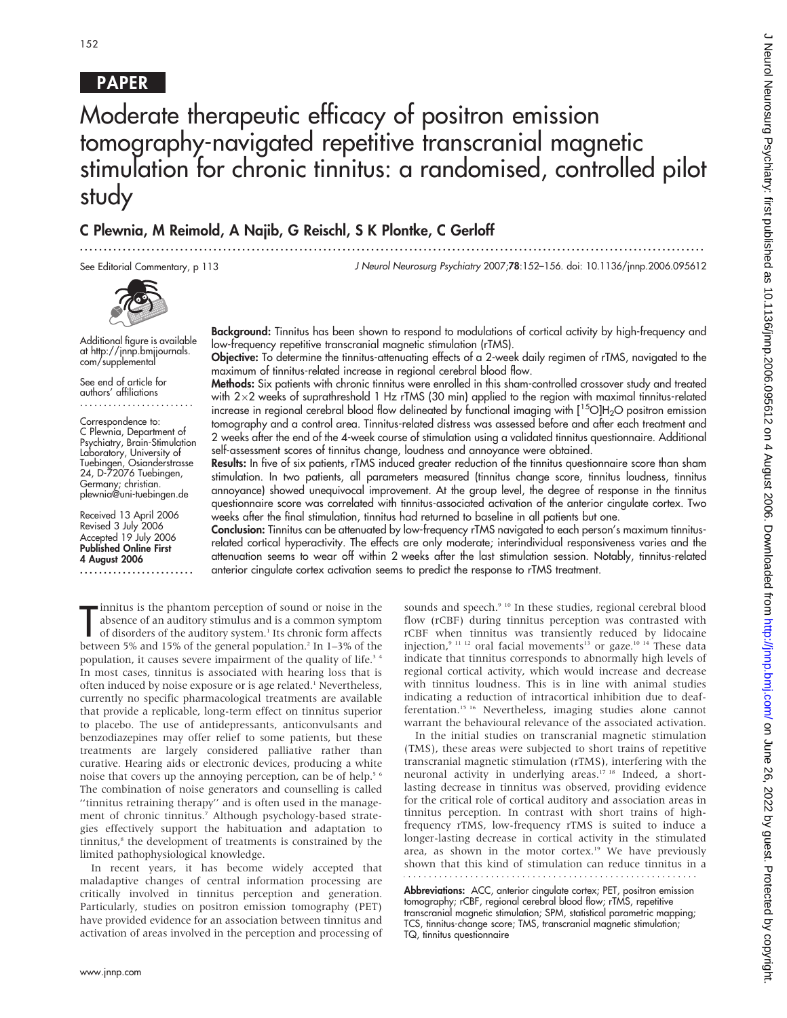## PAPER

# Moderate therapeutic efficacy of positron emission tomography-navigated repetitive transcranial magnetic stimulation for chronic tinnitus: a randomised, controlled pilot study

...................................................................................................................................

## C Plewnia, M Reimold, A Najib, G Reischl, S K Plontke, C Gerloff

See Editorial Commentary, p 113

J Neurol Neurosurg Psychiatry 2007;78:152–156. doi: 10.1136/jnnp.2006.095612



Additional figure is available at http://jnnp.bmjjournals. com/supplemental

See end of article for authors' affiliations ........................

Correspondence to: C Plewnia, Department of Psychiatry, Brain-Stimulation Laboratory, University of Tuebingen, Osianderstrasse 24, D-72076 Tuebingen, Germany; christian. plewnia@uni-tuebingen.de

Received 13 April 2006 Revised 3 July 2006 Accepted 19 July 2006 Published Online First 4 August 2006

........................

Background: Tinnitus has been shown to respond to modulations of cortical activity by high-frequency and low-frequency repetitive transcranial magnetic stimulation (rTMS).

Objective: To determine the tinnitus-attenuating effects of a 2-week daily regimen of rTMS, navigated to the maximum of tinnitus-related increase in regional cerebral blood flow.

Methods: Six patients with chronic tinnitus were enrolled in this sham-controlled crossover study and treated with  $2\times2$  weeks of suprathreshold 1 Hz rTMS (30 min) applied to the region with maximal tinnitus-related increase in regional cerebral blood flow delineated by functional imaging with  $[{}^{15}O]H_2O$  positron emission tomography and a control area. Tinnitus-related distress was assessed before and after each treatment and 2 weeks after the end of the 4-week course of stimulation using a validated tinnitus questionnaire. Additional self-assessment scores of tinnitus change, loudness and annoyance were obtained.

Results: In five of six patients, rTMS induced greater reduction of the tinnitus questionnaire score than sham stimulation. In two patients, all parameters measured (tinnitus change score, tinnitus loudness, tinnitus annoyance) showed unequivocal improvement. At the group level, the degree of response in the tinnitus questionnaire score was correlated with tinnitus-associated activation of the anterior cingulate cortex. Two weeks after the final stimulation, tinnitus had returned to baseline in all patients but one.

Conclusion: Tinnitus can be attenuated by low-frequency rTMS navigated to each person's maximum tinnitusrelated cortical hyperactivity. The effects are only moderate; interindividual responsiveness varies and the attenuation seems to wear off within 2 weeks after the last stimulation session. Notably, tinnitus-related anterior cingulate cortex activation seems to predict the response to rTMS treatment.

Imitus is the phantom perception of sound or noise in the<br>absence of an auditory stimulus and is a common symptom<br>of disorders of the auditory system.<sup>1</sup> Its chronic form affects<br>between 5% and 15% of the general populatio innitus is the phantom perception of sound or noise in the absence of an auditory stimulus and is a common symptom of disorders of the auditory system.<sup>1</sup> Its chronic form affects population, it causes severe impairment of the quality of life.<sup>34</sup> In most cases, tinnitus is associated with hearing loss that is often induced by noise exposure or is age related.<sup>1</sup> Nevertheless, currently no specific pharmacological treatments are available that provide a replicable, long-term effect on tinnitus superior to placebo. The use of antidepressants, anticonvulsants and benzodiazepines may offer relief to some patients, but these treatments are largely considered palliative rather than curative. Hearing aids or electronic devices, producing a white noise that covers up the annoying perception, can be of help.<sup>5 6</sup> The combination of noise generators and counselling is called ''tinnitus retraining therapy'' and is often used in the management of chronic tinnitus.<sup>7</sup> Although psychology-based strategies effectively support the habituation and adaptation to  $t$ innitus, $s$  the development of treatments is constrained by the limited pathophysiological knowledge.

In recent years, it has become widely accepted that maladaptive changes of central information processing are critically involved in tinnitus perception and generation. Particularly, studies on positron emission tomography (PET) have provided evidence for an association between tinnitus and activation of areas involved in the perception and processing of sounds and speech.<sup>9 10</sup> In these studies, regional cerebral blood flow (rCBF) during tinnitus perception was contrasted with rCBF when tinnitus was transiently reduced by lidocaine injection,<sup>9 11 12</sup> oral facial movements<sup>13</sup> or gaze.<sup>10 14</sup> These data indicate that tinnitus corresponds to abnormally high levels of regional cortical activity, which would increase and decrease with tinnitus loudness. This is in line with animal studies indicating a reduction of intracortical inhibition due to deafferentation.15 16 Nevertheless, imaging studies alone cannot warrant the behavioural relevance of the associated activation.

In the initial studies on transcranial magnetic stimulation (TMS), these areas were subjected to short trains of repetitive transcranial magnetic stimulation (rTMS), interfering with the neuronal activity in underlying areas.<sup>17 18</sup> Indeed, a shortlasting decrease in tinnitus was observed, providing evidence for the critical role of cortical auditory and association areas in tinnitus perception. In contrast with short trains of highfrequency rTMS, low-frequency rTMS is suited to induce a longer-lasting decrease in cortical activity in the stimulated area, as shown in the motor cortex.<sup>19</sup> We have previously shown that this kind of stimulation can reduce tinnitus in a

Abbreviations: ACC, anterior cingulate cortex; PET, positron emission tomography; rCBF, regional cerebral blood flow; rTMS, repetitive transcranial magnetic stimulation; SPM, statistical parametric mapping; TCS, tinnitus-change score; TMS, transcranial magnetic stimulation; TQ, tinnitus questionnaire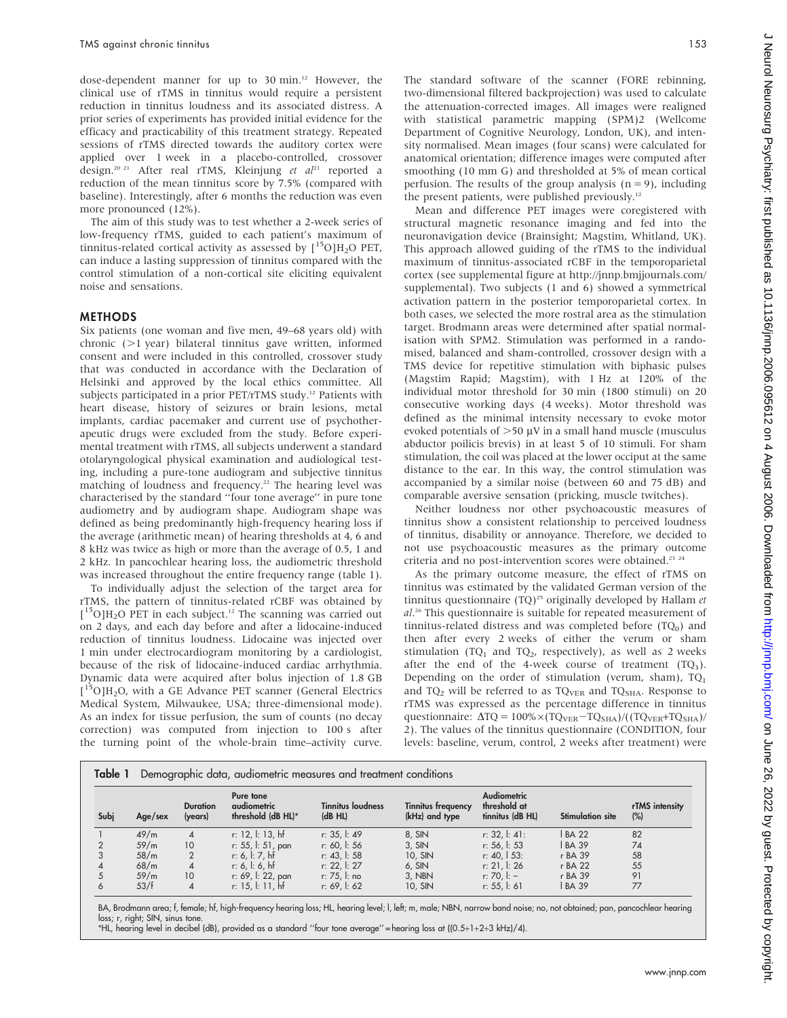dose-dependent manner for up to 30 min.12 However, the clinical use of rTMS in tinnitus would require a persistent reduction in tinnitus loudness and its associated distress. A prior series of experiments has provided initial evidence for the efficacy and practicability of this treatment strategy. Repeated sessions of rTMS directed towards the auditory cortex were applied over 1 week in a placebo-controlled, crossover design.<sup>20 21</sup> After real rTMS, Kleinjung et al<sup>21</sup> reported a reduction of the mean tinnitus score by 7.5% (compared with baseline). Interestingly, after 6 months the reduction was even more pronounced (12%).

The aim of this study was to test whether a 2-week series of low-frequency rTMS, guided to each patient's maximum of tinnitus-related cortical activity as assessed by  $[^{15}O]H_{2}O$  PET, can induce a lasting suppression of tinnitus compared with the control stimulation of a non-cortical site eliciting equivalent noise and sensations.

#### **METHODS**

Six patients (one woman and five men, 49–68 years old) with chronic  $(>1$  year) bilateral tinnitus gave written, informed consent and were included in this controlled, crossover study that was conducted in accordance with the Declaration of Helsinki and approved by the local ethics committee. All subjects participated in a prior PET/rTMS study.<sup>12</sup> Patients with heart disease, history of seizures or brain lesions, metal implants, cardiac pacemaker and current use of psychotherapeutic drugs were excluded from the study. Before experimental treatment with rTMS, all subjects underwent a standard otolaryngological physical examination and audiological testing, including a pure-tone audiogram and subjective tinnitus matching of loudness and frequency.<sup>22</sup> The hearing level was characterised by the standard ''four tone average'' in pure tone audiometry and by audiogram shape. Audiogram shape was defined as being predominantly high-frequency hearing loss if the average (arithmetic mean) of hearing thresholds at 4, 6 and 8 kHz was twice as high or more than the average of 0.5, 1 and 2 kHz. In pancochlear hearing loss, the audiometric threshold was increased throughout the entire frequency range (table 1).

To individually adjust the selection of the target area for rTMS, the pattern of tinnitus-related rCBF was obtained by [<sup>15</sup>O]H<sub>2</sub>O PET in each subject.<sup>12</sup> The scanning was carried out on 2 days, and each day before and after a lidocaine-induced reduction of tinnitus loudness. Lidocaine was injected over 1 min under electrocardiogram monitoring by a cardiologist, because of the risk of lidocaine-induced cardiac arrhythmia. Dynamic data were acquired after bolus injection of 1.8 GB [<sup>15</sup>O]H<sub>2</sub>O, with a GE Advance PET scanner (General Electrics Medical System, Milwaukee, USA; three-dimensional mode). As an index for tissue perfusion, the sum of counts (no decay correction) was computed from injection to 100 s after the turning point of the whole-brain time–activity curve.

The standard software of the scanner (FORE rebinning, two-dimensional filtered backprojection) was used to calculate the attenuation-corrected images. All images were realigned with statistical parametric mapping (SPM)2 (Wellcome Department of Cognitive Neurology, London, UK), and intensity normalised. Mean images (four scans) were calculated for anatomical orientation; difference images were computed after smoothing (10 mm G) and thresholded at 5% of mean cortical perfusion. The results of the group analysis  $(n = 9)$ , including the present patients, were published previously.12

Mean and difference PET images were coregistered with structural magnetic resonance imaging and fed into the neuronavigation device (Brainsight; Magstim, Whitland, UK). This approach allowed guiding of the rTMS to the individual maximum of tinnitus-associated rCBF in the temporoparietal cortex (see supplemental figure at http://jnnp.bmjjournals.com/ supplemental). Two subjects (1 and 6) showed a symmetrical activation pattern in the posterior temporoparietal cortex. In both cases, we selected the more rostral area as the stimulation target. Brodmann areas were determined after spatial normalisation with SPM2. Stimulation was performed in a randomised, balanced and sham-controlled, crossover design with a TMS device for repetitive stimulation with biphasic pulses (Magstim Rapid; Magstim), with 1 Hz at 120% of the individual motor threshold for 30 min (1800 stimuli) on 20 consecutive working days (4 weeks). Motor threshold was defined as the minimal intensity necessary to evoke motor evoked potentials of  $>50 \mu V$  in a small hand muscle (musculus abductor poilicis brevis) in at least 5 of 10 stimuli. For sham stimulation, the coil was placed at the lower occiput at the same distance to the ear. In this way, the control stimulation was accompanied by a similar noise (between 60 and 75 dB) and comparable aversive sensation (pricking, muscle twitches).

Neither loudness nor other psychoacoustic measures of tinnitus show a consistent relationship to perceived loudness of tinnitus, disability or annoyance. Therefore, we decided to not use psychoacoustic measures as the primary outcome criteria and no post-intervention scores were obtained.<sup>23</sup> <sup>24</sup>

As the primary outcome measure, the effect of rTMS on tinnitus was estimated by the validated German version of the tinnitus questionnaire (TQ)<sup>25</sup> originally developed by Hallam et al.<sup>26</sup> This questionnaire is suitable for repeated measurement of tinnitus-related distress and was completed before  $(TQ_0)$  and then after every 2 weeks of either the verum or sham stimulation (TQ<sub>1</sub> and TQ<sub>2</sub>, respectively), as well as 2 weeks after the end of the 4-week course of treatment  $(TQ_3)$ . Depending on the order of stimulation (verum, sham), TQ1 and TQ<sub>2</sub> will be referred to as TQ<sub>VER</sub> and TQ<sub>SHA</sub>. Response to rTMS was expressed as the percentage difference in tinnitus questionnaire:  $\Delta TQ = 100\% \times (TQ_{VER} - TQ_{SHA})/((TQ_{VER} + TQ_{SHA})/$ 2). The values of the tinnitus questionnaire (CONDITION, four levels: baseline, verum, control, 2 weeks after treatment) were

| Table 1<br>Demographic data, audiometric measures and treatment conditions |         |                            |                                                |                                     |                                             |                                                        |                         |                       |  |  |
|----------------------------------------------------------------------------|---------|----------------------------|------------------------------------------------|-------------------------------------|---------------------------------------------|--------------------------------------------------------|-------------------------|-----------------------|--|--|
| Subj                                                                       | Age/sex | <b>Duration</b><br>(years) | Pure tone<br>audiometric<br>threshold (dB HL)* | <b>Tinnitus loudness</b><br>(dB HL) | <b>Tinnitus frequency</b><br>(kHz) and type | <b>Audiometric</b><br>threshold at<br>tinnitus (dB HL) | <b>Stimulation site</b> | rTMS intensity<br>(%) |  |  |
|                                                                            | 49/m    | $\overline{4}$             | r: 12, l: 13, hf                               | r: 35, l: 49                        | 8, SIN                                      | r: 32, 1: 41:                                          | <b>BA 22</b>            | 82                    |  |  |
|                                                                            | 59/m    | 10                         | r: 55, l: 51, pan                              | r: 60, l: 56                        | $3,$ SIN                                    | r: 56, l: 53                                           | <b>BA 39</b>            | 74                    |  |  |
|                                                                            | 58/m    | 2                          | r: 6, l: 7, hf                                 | $r: 43.$ $\vdots$ 58                | $10.$ SIN                                   | r: 40, $\vert$ 53:                                     | r BA 39                 | 58                    |  |  |
|                                                                            | 68/m    | $\overline{4}$             | r: 6.1: 6. h f                                 | $r: 22.$ $ : 27$                    | $6,$ SIN                                    | r: 21.1: 26                                            | r BA 22                 | 55                    |  |  |
|                                                                            | 59/m    | 10                         | r: 69, l: 22, pan                              | r: 75. l: no                        | 3. NBN                                      | r: 70. $ :$ -                                          | r BA 39                 | 91                    |  |  |
| $\circ$                                                                    | 53/f    | $\overline{4}$             | r: 15, l: 11, hf                               | r: 69, l: 62                        | 10, SIN                                     | r: 55, $\vert$ : 61                                    | <b>BA 39</b>            | 77                    |  |  |

BA, Brodmann area; f, female; hf, high-frequency hearing loss; HL, hearing level; l, left; m, male; NBN, narrow band noise; no, not obtained; pan, pancochlear hearing loss; r, right; SIN, sinus tone.

\*HL, hearing level in decibel (dB), provided as a standard ''four tone average'' = hearing loss at ((0.5+1+2+3 kHz)/4).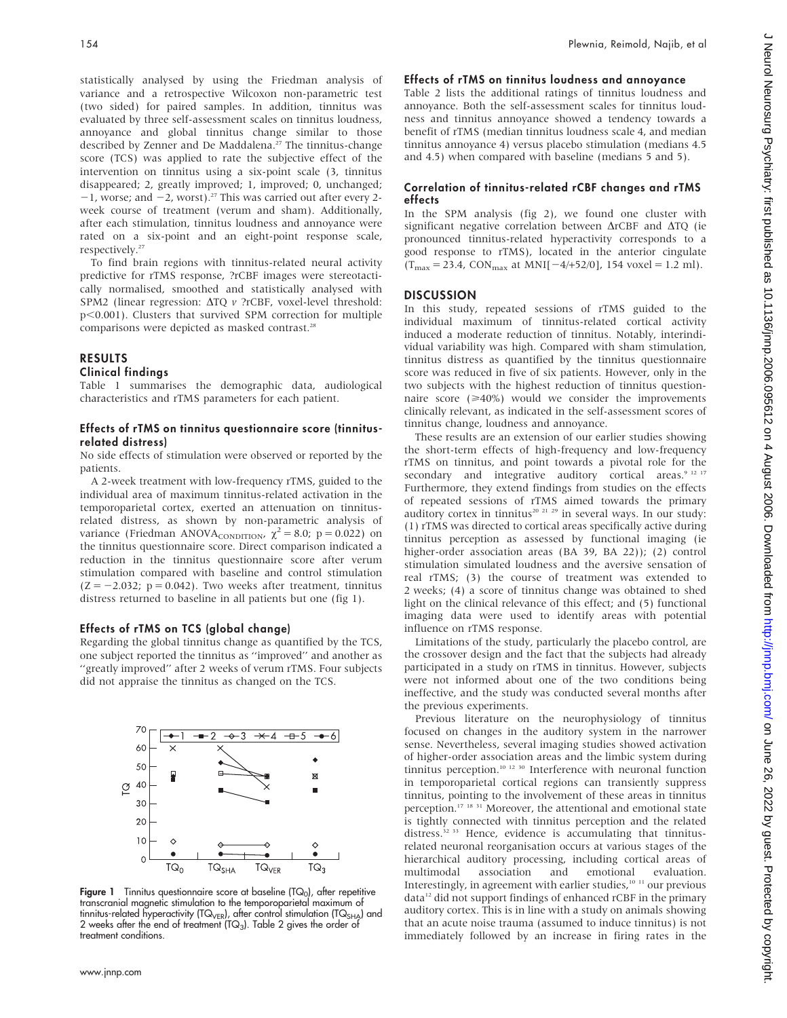statistically analysed by using the Friedman analysis of variance and a retrospective Wilcoxon non-parametric test (two sided) for paired samples. In addition, tinnitus was evaluated by three self-assessment scales on tinnitus loudness, annoyance and global tinnitus change similar to those described by Zenner and De Maddalena.<sup>27</sup> The tinnitus-change score (TCS) was applied to rate the subjective effect of the intervention on tinnitus using a six-point scale (3, tinnitus disappeared; 2, greatly improved; 1, improved; 0, unchanged;  $-1$ , worse; and  $-2$ , worst).<sup>27</sup> This was carried out after every 2week course of treatment (verum and sham). Additionally, after each stimulation, tinnitus loudness and annoyance were rated on a six-point and an eight-point response scale, respectively.<sup>27</sup>

To find brain regions with tinnitus-related neural activity predictive for rTMS response, ?rCBF images were stereotactically normalised, smoothed and statistically analysed with SPM2 (linear regression:  $\Delta TQ$  v ?rCBF, voxel-level threshold:  $p<0.001$ ). Clusters that survived SPM correction for multiple comparisons were depicted as masked contrast.<sup>28</sup>

## RESULTS

### Clinical findings

Table 1 summarises the demographic data, audiological characteristics and rTMS parameters for each patient.

#### Effects of rTMS on tinnitus questionnaire score (tinnitusrelated distress)

No side effects of stimulation were observed or reported by the patients.

A 2-week treatment with low-frequency rTMS, guided to the individual area of maximum tinnitus-related activation in the temporoparietal cortex, exerted an attenuation on tinnitusrelated distress, as shown by non-parametric analysis of variance (Friedman ANOVA<sub>CONDITION</sub>,  $\chi^2 = 8.0$ ; p = 0.022) on the tinnitus questionnaire score. Direct comparison indicated a reduction in the tinnitus questionnaire score after verum stimulation compared with baseline and control stimulation  $(Z = -2.032; p = 0.042)$ . Two weeks after treatment, tinnitus distress returned to baseline in all patients but one (fig 1).

#### Effects of rTMS on TCS (global change)

Regarding the global tinnitus change as quantified by the TCS, one subject reported the tinnitus as ''improved'' and another as ''greatly improved'' after 2 weeks of verum rTMS. Four subjects did not appraise the tinnitus as changed on the TCS.



Figure 1 Tinnitus questionnaire score at baseline  $(TQ_0)$ , after repetitive transcranial magnetic stimulation to the temporoparietal maximum of tinnitus-related hyperactivity ( $TQ_{VER}$ ), after control stimulation ( $TQ_{SHA}$ ) and 2 weeks after the end of treatment  $(TQ<sub>3</sub>)$ . Table 2 gives the order of treatment conditions.

#### Effects of rTMS on tinnitus loudness and annoyance

Table 2 lists the additional ratings of tinnitus loudness and annoyance. Both the self-assessment scales for tinnitus loudness and tinnitus annoyance showed a tendency towards a benefit of rTMS (median tinnitus loudness scale 4, and median tinnitus annoyance 4) versus placebo stimulation (medians 4.5 and 4.5) when compared with baseline (medians 5 and 5).

#### Correlation of tinnitus-related rCBF changes and rTMS effects

In the SPM analysis (fig 2), we found one cluster with significant negative correlation between  $\triangle$ rCBF and  $\triangle$ TQ (ie pronounced tinnitus-related hyperactivity corresponds to a good response to rTMS), located in the anterior cingulate  $(T_{\text{max}} = 23.4, \text{ CON}_{\text{max}}$  at MNI[-4/+52/0], 154 voxel = 1.2 ml).

#### **DISCUSSION**

In this study, repeated sessions of rTMS guided to the individual maximum of tinnitus-related cortical activity induced a moderate reduction of tinnitus. Notably, interindividual variability was high. Compared with sham stimulation, tinnitus distress as quantified by the tinnitus questionnaire score was reduced in five of six patients. However, only in the two subjects with the highest reduction of tinnitus questionnaire score  $(\geq 40\%)$  would we consider the improvements clinically relevant, as indicated in the self-assessment scores of tinnitus change, loudness and annoyance.

These results are an extension of our earlier studies showing the short-term effects of high-frequency and low-frequency rTMS on tinnitus, and point towards a pivotal role for the secondary and integrative auditory cortical areas. $9^{12}$ <sup>17</sup> Furthermore, they extend findings from studies on the effects of repeated sessions of rTMS aimed towards the primary auditory cortex in tinnitus<sup>20 21 29</sup> in several ways. In our study: (1) rTMS was directed to cortical areas specifically active during tinnitus perception as assessed by functional imaging (ie higher-order association areas (BA 39, BA 22)); (2) control stimulation simulated loudness and the aversive sensation of real rTMS; (3) the course of treatment was extended to 2 weeks; (4) a score of tinnitus change was obtained to shed light on the clinical relevance of this effect; and (5) functional imaging data were used to identify areas with potential influence on rTMS response.

Limitations of the study, particularly the placebo control, are the crossover design and the fact that the subjects had already participated in a study on rTMS in tinnitus. However, subjects were not informed about one of the two conditions being ineffective, and the study was conducted several months after the previous experiments.

Previous literature on the neurophysiology of tinnitus focused on changes in the auditory system in the narrower sense. Nevertheless, several imaging studies showed activation of higher-order association areas and the limbic system during tinnitus perception.<sup>10 12 30</sup> Interference with neuronal function in temporoparietal cortical regions can transiently suppress tinnitus, pointing to the involvement of these areas in tinnitus perception.17 18 31 Moreover, the attentional and emotional state is tightly connected with tinnitus perception and the related distress.<sup>32</sup> <sup>33</sup> Hence, evidence is accumulating that tinnitusrelated neuronal reorganisation occurs at various stages of the hierarchical auditory processing, including cortical areas of multimodal association and emotional evaluation. Interestingly, in agreement with earlier studies,<sup>10 11</sup> our previous data<sup>12</sup> did not support findings of enhanced rCBF in the primary auditory cortex. This is in line with a study on animals showing that an acute noise trauma (assumed to induce tinnitus) is not immediately followed by an increase in firing rates in the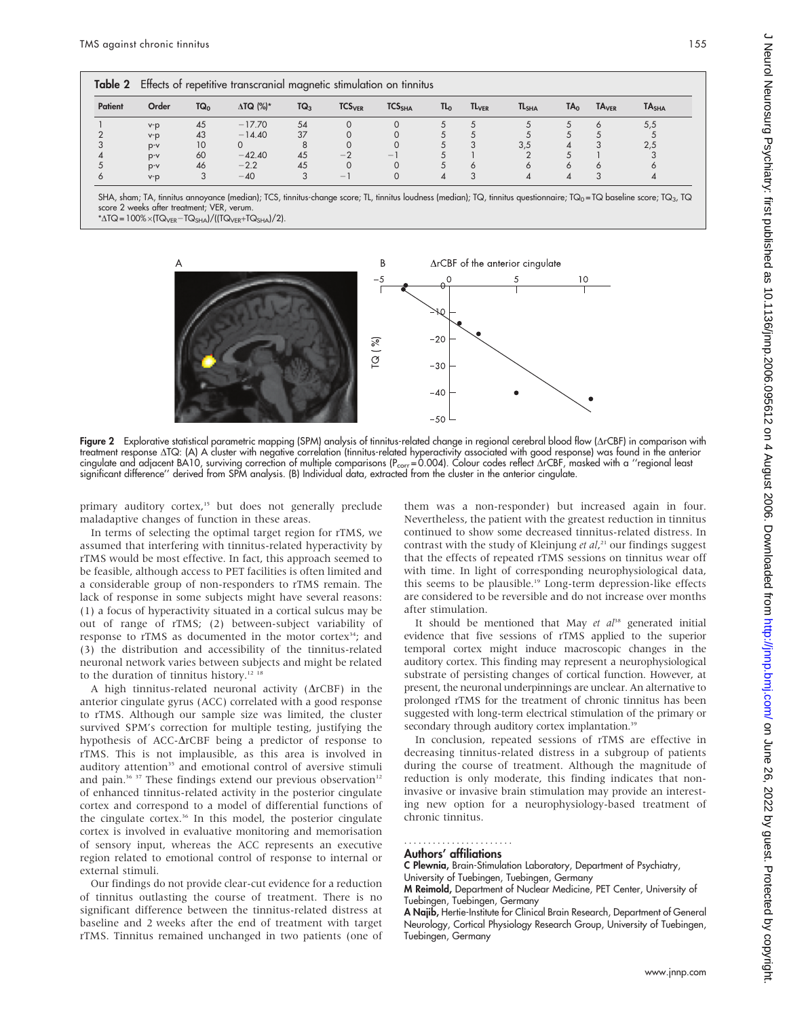| Table 2 | Effects of repetitive transcranial magnetic stimulation on tinnitus |        |                  |        |                          |                    |                 |                         |                   |                 |                   |                   |
|---------|---------------------------------------------------------------------|--------|------------------|--------|--------------------------|--------------------|-----------------|-------------------------|-------------------|-----------------|-------------------|-------------------|
| Patient | Order                                                               | $TQ_0$ | $\Delta TQ$ (%)* | $TQ_3$ | TCS <sub>VER</sub>       | TCS <sub>SHA</sub> | TL <sub>0</sub> | <b>TL<sub>VER</sub></b> | TL <sub>SHA</sub> | TA <sub>0</sub> | TA <sub>VER</sub> | TA <sub>SHA</sub> |
|         | $V - D$                                                             | 45     | $-17.70$         | 54     |                          |                    |                 |                         |                   |                 |                   | 5,5               |
|         | $V - D$                                                             | 43     | $-14.40$         | 37     |                          |                    |                 |                         |                   |                 |                   |                   |
|         | $p-v$                                                               | 10     |                  |        |                          |                    |                 |                         | 3,5               |                 |                   | 2,5               |
|         | $p-v$                                                               | 60     | $-42.40$         | 45     | $-$ .                    | $\qquad \qquad -$  |                 |                         |                   |                 |                   |                   |
|         | $p-v$                                                               | 46     | $-2.2$           | 45     |                          |                    |                 | $\circ$                 | Ó                 |                 |                   |                   |
|         | $V - D$                                                             |        | $-40$            |        | $\overline{\phantom{0}}$ |                    |                 |                         | 4                 |                 |                   |                   |

SHA, sham; TA, tinnitus annoyance (median); TCS, tinnitus-change score; TL, tinnitus loudness (median); TQ, tinnitus questionnaire; TQ<sub>0</sub> = TQ baseline score; TQ<sub>3</sub>, TQ score 2 weeks after treatment; VER, verum.

 $*\Delta TQ = 100\% \times (TQ_{VER} - TQ_{SHA}) / ((TQ_{VER} + TQ_{SHA}) / 2).$ 



Figure 2 Explorative statistical parametric mapping (SPM) analysis of tinnitus-related change in regional cerebral blood flow ( $\Delta rCBF$ ) in comparison with treatment response DTQ: (A) A cluster with negative correlation (tinnitus-related hyperactivity associated with good response) was found in the anterior cingulate and adjacent BA10, surviving correction of multiple comparisons ( $P_{corr} = 0.004$ ). Colour codes reflect  $\Delta rCBF$ , masked with a "regional least significant difference'' derived from SPM analysis. (B) Individual data, extracted from the cluster in the anterior cingulate.

primary auditory cortex,<sup>15</sup> but does not generally preclude maladaptive changes of function in these areas.

In terms of selecting the optimal target region for rTMS, we assumed that interfering with tinnitus-related hyperactivity by rTMS would be most effective. In fact, this approach seemed to be feasible, although access to PET facilities is often limited and a considerable group of non-responders to rTMS remain. The lack of response in some subjects might have several reasons: (1) a focus of hyperactivity situated in a cortical sulcus may be out of range of rTMS; (2) between-subject variability of response to rTMS as documented in the motor cortex<sup>34</sup>; and (3) the distribution and accessibility of the tinnitus-related neuronal network varies between subjects and might be related to the duration of tinnitus history.<sup>12 18</sup>

A high tinnitus-related neuronal activity  $(\Delta rCBF)$  in the anterior cingulate gyrus (ACC) correlated with a good response to rTMS. Although our sample size was limited, the cluster survived SPM's correction for multiple testing, justifying the hypothesis of ACC- $\Delta$ rCBF being a predictor of response to rTMS. This is not implausible, as this area is involved in auditory attention<sup>35</sup> and emotional control of aversive stimuli and pain.<sup>36 37</sup> These findings extend our previous observation<sup>12</sup> of enhanced tinnitus-related activity in the posterior cingulate cortex and correspond to a model of differential functions of the cingulate cortex.<sup>36</sup> In this model, the posterior cingulate cortex is involved in evaluative monitoring and memorisation of sensory input, whereas the ACC represents an executive region related to emotional control of response to internal or external stimuli.

Our findings do not provide clear-cut evidence for a reduction of tinnitus outlasting the course of treatment. There is no significant difference between the tinnitus-related distress at baseline and 2 weeks after the end of treatment with target rTMS. Tinnitus remained unchanged in two patients (one of

them was a non-responder) but increased again in four. Nevertheless, the patient with the greatest reduction in tinnitus continued to show some decreased tinnitus-related distress. In contrast with the study of Kleinjung et al,<sup>21</sup> our findings suggest that the effects of repeated rTMS sessions on tinnitus wear off with time. In light of corresponding neurophysiological data, this seems to be plausible.<sup>19</sup> Long-term depression-like effects are considered to be reversible and do not increase over months after stimulation.

It should be mentioned that May et  $a^{ps}$  generated initial evidence that five sessions of rTMS applied to the superior temporal cortex might induce macroscopic changes in the auditory cortex. This finding may represent a neurophysiological substrate of persisting changes of cortical function. However, at present, the neuronal underpinnings are unclear. An alternative to prolonged rTMS for the treatment of chronic tinnitus has been suggested with long-term electrical stimulation of the primary or secondary through auditory cortex implantation.<sup>39</sup>

In conclusion, repeated sessions of rTMS are effective in decreasing tinnitus-related distress in a subgroup of patients during the course of treatment. Although the magnitude of reduction is only moderate, this finding indicates that noninvasive or invasive brain stimulation may provide an interesting new option for a neurophysiology-based treatment of chronic tinnitus.

#### Authors' affiliations .......................

C Plewnia, Brain-Stimulation Laboratory, Department of Psychiatry,

University of Tuebingen, Tuebingen, Germany M Reimold, Department of Nuclear Medicine, PET Center, University of Tuebingen, Tuebingen, Germany

A Najib, Hertie-Institute for Clinical Brain Research, Department of General Neurology, Cortical Physiology Research Group, University of Tuebingen, Tuebingen, Germany